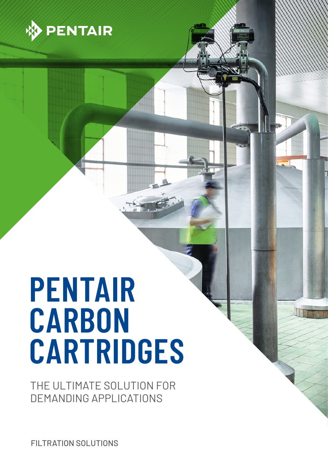

# **PENTAIR CARBON CARTRIDGES**

THE ULTIMATE SOLUTION FOR DEMANDING APPLICATIONS

FILTRATION SOLUTIONS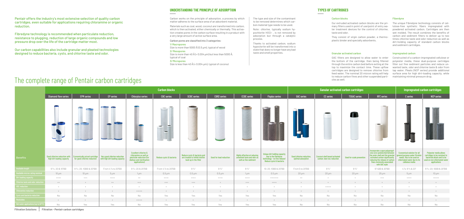## The complete range of Pentair carbon cartridges

**Filtration Solutions Filtration - Pentair carbon cartridges**

| <b>Carbon blocks</b>                                     |                                                              |                                                                 |                                                                                                                                     |                          |                                                                                        |                          |                                                                                            |                                                                                                                  | <b>Ganular activated carbon cartridges</b>            |                                                                    |                           |                                                                                                                                                                                                                 | Impregnated carbon cartridges                                                                                                                        |                                                                                                                                        |
|----------------------------------------------------------|--------------------------------------------------------------|-----------------------------------------------------------------|-------------------------------------------------------------------------------------------------------------------------------------|--------------------------|----------------------------------------------------------------------------------------|--------------------------|--------------------------------------------------------------------------------------------|------------------------------------------------------------------------------------------------------------------|-------------------------------------------------------|--------------------------------------------------------------------|---------------------------|-----------------------------------------------------------------------------------------------------------------------------------------------------------------------------------------------------------------|------------------------------------------------------------------------------------------------------------------------------------------------------|----------------------------------------------------------------------------------------------------------------------------------------|
| <b>Diamond flow series</b>                               | <b>EPM</b> series                                            | EP series                                                       | <b>Chlorplus series</b>                                                                                                             | <b>CBC</b> series        | <b>SCBC</b> series                                                                     | <b>CBR2</b> series       | <b>CCBC</b> series                                                                         | <b>Floplus series</b>                                                                                            | <b>GAC</b> series                                     | <b>CC</b> series                                                   | <b>TSGAC series</b>       | RFC series                                                                                                                                                                                                      | C series                                                                                                                                             | <b>NCP</b> series                                                                                                                      |
|                                                          |                                                              | <b>COLLEGE</b><br><b>CONTRACTOR</b>                             |                                                                                                                                     | -<br>$\rightarrow$       |                                                                                        |                          |                                                                                            | <b>MARKET</b>                                                                                                    |                                                       |                                                                    | T                         |                                                                                                                                                                                                                 |                                                                                                                                                      |                                                                                                                                        |
| od chlorine reduction with<br>high dirt loading capacity | Economically priced cartridge<br>for good chlorine reduction | Very good chlorine reduction<br>with high dirt loading capacity | <b>Excellent chlorine &amp;</b><br>chloramine as well as<br>pesticide reduction (for<br>dialisys and sterilisation<br>applications) | Reduce cysts & bacteria  | Reduce cysts & bacteria and<br>are treated to inhibit biofilm<br>buid up in the filter | Used for lead reduction  | <b>Highly effective at reducing</b><br>unwanted taste and odor as<br>well as fine sediment | Unique dirt holding capacity<br>due to the fibredyne<br>technology - no fine release!<br>Reduce cysts & bacteria | <b>Good chlorine reduction,</b><br>optimal adsorption | <b>Coconut shell based activated</b><br>carbon: best voc reduction | Used for scale prevention | Incorporate a spun polypropylene core sandwiched betweer<br>the outer shell and the granular<br>activated carbon significantly<br>reducing the release of carbon<br>fines commonly associated<br>with GAC style | <b>Economical solution for all</b><br>general purpose water fitration<br>needs. Has to be used on<br>chlorinated water due to its<br>cellulose media | Polyester media allows<br>cartridges to be resistant to<br>bacterial attack and to be<br>used on non chlorinated water<br>applications |
| 9 3/4; 20 & 10"BB                                        | 9 3/4; 20; 10BB & 20"BB                                      | From 4 % to 20"BB                                               | 9 3/4; 20 & 20"BB                                                                                                                   | From 4 % to 20"BB        | $9\frac{3}{4}$ "                                                                       | $9\frac{3}{4}$ "         | $9\frac{3}{4}$ "                                                                           | 10; 20; 10BB & 20"BB                                                                                             | From 5 to 20"BB                                       | $9.3\frac{1}{4}$                                                   | $9\frac{3}{4}$ "          | 9 3/4BB & 20"BB                                                                                                                                                                                                 | 4 7/8; 9 3/4 & 20"                                                                                                                                   | 9 3/4; 20; 10BB & 20"BB                                                                                                                |
| $10 \mu m$                                               | $10 \mu m$                                                   | $5 \mu m$                                                       | $1 \mu m$                                                                                                                           | $0.5 \,\mathrm{\upmu m}$ | $0.5 \,\mathrm{\upmu m}$                                                               | $0.5 \,\mathrm{\upmu m}$ | $1 \mu m$                                                                                  | $0.5 \,\mathrm{\mu m}$                                                                                           | $20 \mu m$                                            | $20 \mu m$                                                         | $20 \mu m$                | $25 \,\mathrm{\upmu m}$                                                                                                                                                                                         | $5 \mu m$                                                                                                                                            | $10 \mu m$                                                                                                                             |
| $++++-$                                                  | $+++$                                                        | $+++++$                                                         | $+ +$                                                                                                                               | $++++-$                  | $+++++$                                                                                | $+++++$                  | $++++-$                                                                                    | $+ + + + + + +$                                                                                                  | $++$                                                  | $+$                                                                | $+$                       | $^{+++}$                                                                                                                                                                                                        | $++++-$                                                                                                                                              | $+++++$                                                                                                                                |
| $++$                                                     | $+$                                                          | $++$                                                            | $+++$                                                                                                                               | $+++$                    | $+++$                                                                                  | $+$                      | $+++$                                                                                      | $++++-$                                                                                                          | $+$                                                   | $+$                                                                | $+$                       | $+$                                                                                                                                                                                                             | $+$                                                                                                                                                  |                                                                                                                                        |
| $+$                                                      | $+$                                                          |                                                                 | $+$                                                                                                                                 |                          |                                                                                        |                          |                                                                                            | $+$                                                                                                              | $+$                                                   | $+++++$                                                            |                           | $+$                                                                                                                                                                                                             |                                                                                                                                                      | $+$                                                                                                                                    |
| $+$                                                      | $+$                                                          | $+$                                                             | $+++++$                                                                                                                             | $+$                      |                                                                                        |                          | $+$                                                                                        | $+$                                                                                                              | $+$                                                   | $+$                                                                | $+$                       | $+$                                                                                                                                                                                                             | $+$                                                                                                                                                  |                                                                                                                                        |
| No<br>$+$                                                | No<br>$+$                                                    | No<br>$+$                                                       | No<br>$+++++$                                                                                                                       | Yes<br>$+$               | Yes<br>$+$                                                                             | Yes<br>$+$               | Yes<br>$+$                                                                                 | Yes<br>$+$                                                                                                       | No<br>$+$                                             | No<br>$+$                                                          | No<br>$+$                 | No<br>$+$                                                                                                                                                                                                       | No<br>$+$                                                                                                                                            | No<br>$+$                                                                                                                              |
| No                                                       | Yes                                                          | Yes                                                             | No                                                                                                                                  | Yes                      | Yes                                                                                    | Yes                      | Yes                                                                                        | Yes                                                                                                              | No                                                    | No                                                                 | No                        | No                                                                                                                                                                                                              | No                                                                                                                                                   | No                                                                                                                                     |

## $\equiv$ Excellent chlorine & chloramine as well as Reduce cysts & bacteria and Benefits Good chlorine reduction with Economically priced cartridge Economically priced cartridge Very good chlorine reduction Reduce cysts & bacteria are treated to inhibit biofilm Used for lead reduction pesticide reduction (for high dirt loading capacity for good chlorine reduction with high dirt loading capacity dialisys and sterilisation buid up in the filter applications) 93%;20810"BB 93%;20810"BB 93%;20;10BB820"BB From 43% to 20"BB 93%;20820"BB From 43% to 20"BB From 43% to 20"BB From 43% to 20"BB 93%; 20820"BB 93%; 20820"BB 93%; 20820"BB 93%; 93% 93% 93% 93%820"BB 93%; 93%820"BB 93%; 93% Available micron rating nominal 10 µm 10 µm 5 µm 1 µm 0.5 µm 0.5 µm 0.5 µm 1 µm 0.5 µm 20 µm 20 µm 20 µm 25 µm 5 µm 10 µm Dirt loading capacity ++++ +++ ++++ ++ ++++ ++++ ++++ ++++ +++++++ ++ + + +++ ++++ +++++ Chlorine taste and odor reduction ++ + ++ +++ +++ +++ + +++ ++++ + + + + + + VOC reduction + + + + + + + + + + +++++ + + + + Chloramine reduction + + + +++++ + + + + + + + + + + + Cysts and bacteria reduction No No No No Yes Yes Yes Yes Yes No No No No No No Pesticides + + + +++++ + + + + + + + + + + + Hot water applications (up to 82°C) No Yes Yes No Yes Yes Yes Yes Yes No No No No No No

1/ Macropores Size is more than 5000 Å (0.5 µm), typical of wood

Size is more than 40 Å (> 0.004  $\mu$ m) but less than 5000 Å, typical of coal

#### Carbon blocks

Our extruded activated carbon blocks are the primary filters used in point of use/point of entry water treatment devices for the control of chlorine, taste and odor.

They consist of virgin carbon powder, a thermoplastic binder and specialty adsorbents.

## Granular activated carbon

GAC filters are designed to allow water to enter the bottom of the cartridge, then being filtered through the entire carbon bed before exiting at the to reduce carbon fines and other suspended particles as well.

#### Fiberdyne

The unique Fibredyne technology consists of cellulose-free synthetic fibers impregnated with powdered activated carbon. Cartridges are then wet molded. The result combines the benefits of carbon and sediment filters to deliver up to two times chlorine taste and odor reduction as well as dirt-holding capacity of standard carbon blocks and sediment cartridges.

top to maximize the contact time. These upflow wanted taste, odor and chlorine taste & odor from cartridges are designed to remove chlorine from tap water. Pleats (NCP series) provide additional feed water. The nominal 20 micron rating will help surface area for high dirt-loading capacity, while Constructed of a carbon-impregnated cellulose or polyester media, these dual-purpose cartridges filter out fine sediment particles and reduce unmaintaining minimal pressure drop.

## Impregnated carbon

## **TYPES OF CARTRIDGES**

Carbon works on the principle of adsorption, a process by which matter adheres to the surface area of an adsorbent material.

Materials such as coal, wood, coconut are transformed into carbon, which is then activated, either chemically or thermally. This activation creates pores in the carbon surface resulting in a product with a very large amount of active surface area.

### Carbon pores are classified into 3 categories:

#### 2/ Mesopores

## 3/ Micropores

Size is less than 40 Å (< 0.004 µm), typical of coconut

The type and size of the contaminant to be removed determines which carbon material type needs to be used.

Note: chlorine, typically sodium hypochlorite HOCl- , is not removed by adsorption but through a catalytic process.

Thanks to activated carbon, sodium hypoclorite will be transformed into a state that does no longer have any bad taste and smell properties.

## **UNDERSTANDING THE PRINCIPLE OF ADSORPTION**

Pentair offers the industry's most extensive selection of quality carbon cartridges, even suitable for applications requiring chloramine or organic reduction.

Fibredyne technology is recommended when particulate reduction, resistance to plugging, reduction of large organic compounds and low pressure drop over the life of the cartridge matter most.

Our carbon capabilities also include granular and pleated technologies designed to reduce bacteria, cysts, and chlorine taste and odor.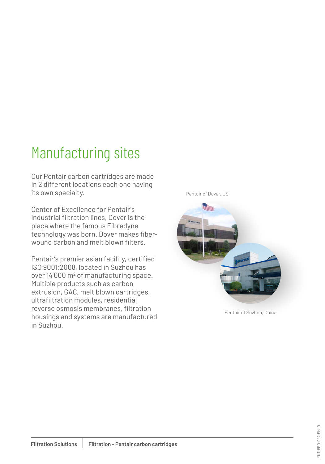# Manufacturing sites

Our Pentair carbon cartridges are made in 2 different locations each one having its own specialty.

Center of Excellence for Pentair's industrial filtration lines, Dover is the place where the famous Fibredyne technology was born. Dover makes fiberwound carbon and melt blown filters.

Pentair's premier asian facility, certified ISO 9001:2008, located in Suzhou has over 14'000 m<sup>2</sup> of manufacturing space. Multiple products such as carbon extrusion, GAC, melt blown cartridges, ultrafiltration modules, residential reverse osmosis membranes, filtration housings and systems are manufactured in Suzhou.

Pentair of Dover, US



Pentair of Suzhou, China